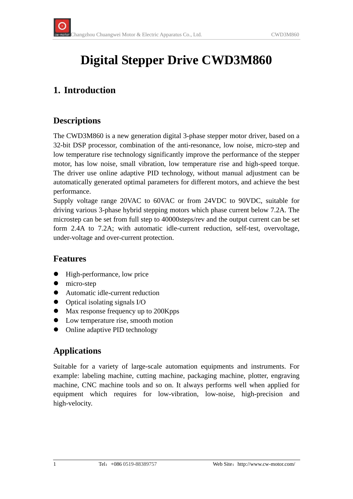# **Digital Stepper Drive CWD3M860**

## **1. Introduction**

#### **Descriptions**

The CWD3M860 is a new generation digital 3-phase stepper motor driver, based on a 32-bit DSP processor, combination of the anti-resonance, low noise, micro-step and low temperature rise technology significantly improve the performance of the stepper motor, has low noise, small vibration, low temperature rise and high-speed torque. The driver use online adaptive PID technology, without manual adjustment can be automatically generated optimal parameters for different motors, and achieve the best performance.

Supply voltage range 20VAC to 60VAC or from 24VDC to 90VDC, suitable for driving various 3-phase hybrid stepping motors which phase current below 7.2A. The microstep can be set from full step to 40000steps/rev and the output current can be set form 2.4A to 7.2A; with automatic idle-current reduction, self-test, overvoltage, under-voltage and over-current protection.

#### **Features**

- High-performance, low price
- $\bullet$  micro-step
- Automatic idle-current reduction
- $\bullet$  Optical isolating signals I/O
- Max response frequency up to 200Kpps
- Low temperature rise, smooth motion
- Online adaptive PID technology

#### **Applications**

Suitable for a variety of large-scale automation equipments and instruments. For example: labeling machine, cutting machine, packaging machine, plotter, engraving machine, CNC machine tools and so on. It always performs well when applied for equipment which requires for low-vibration, low-noise, high-precision and high-velocity.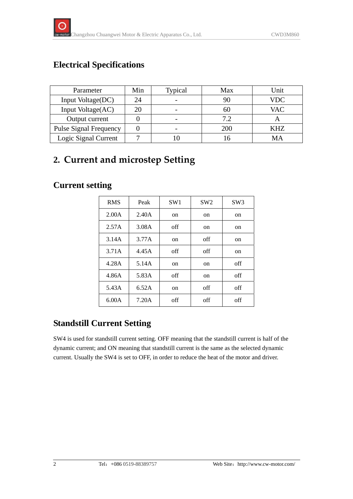## **Electrical Specifications**

| Parameter                     | Min | Typical | Max | Unit       |
|-------------------------------|-----|---------|-----|------------|
| Input Voltage(DC)             | 24  | -       | 90  | <b>VDC</b> |
| Input Voltage(AC)             | 20  |         | 60  | <b>VAC</b> |
| Output current                |     |         | 7.2 |            |
| <b>Pulse Signal Frequency</b> |     |         | 200 | KHZ        |
| Logic Signal Current          |     |         |     | MА         |

## **2. Current and microstep Setting**

#### **Current setting**

| <b>RMS</b> | Peak  | SW1 | SW2 | SW <sub>3</sub> |
|------------|-------|-----|-----|-----------------|
| 2.00A      | 2.40A | on  | on  | on              |
| 2.57A      | 3.08A | off | on  | on              |
| 3.14A      | 3.77A | on  | off | on              |
| 3.71A      | 4.45A | off | off | on              |
| 4.28A      | 5.14A | on  | on  | off             |
| 4.86A      | 5.83A | off | on  | off             |
| 5.43A      | 6.52A | on  | off | off             |
| 6.00A      | 7.20A | off | off | off             |

## **Standstill Current Setting**

SW4 is used for standstill current setting. OFF meaning that the standstill current is half of the dynamic current; and ON meaning that standstill current is the same as the selected dynamic current. Usually the SW4 is set to OFF, in order to reduce the heat of the motor and driver.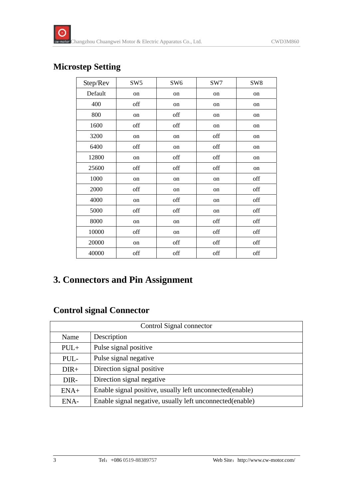#### **Microstep Setting**

| Step/Rev | SW <sub>5</sub> | SW <sub>6</sub> | SW7 | SW <sub>8</sub> |
|----------|-----------------|-----------------|-----|-----------------|
| Default  | on              | on              | on  | on              |
| 400      | off             | on              | on  | on              |
| 800      | on              | off             | on  | on              |
| 1600     | off             | off             | on  | on              |
| 3200     | on              | on              | off | on              |
| 6400     | off             | on              | off | on              |
| 12800    | on              | off             | off | on              |
| 25600    | off             | off             | off | on              |
| 1000     | on              | on              | on  | off             |
| 2000     | off             | on              | on  | off             |
| 4000     | on              | off             | on  | off             |
| 5000     | off             | off             | on  | off             |
| 8000     | on              | on              | off | off             |
| 10000    | off             | on              | off | off             |
| 20000    | on              | off             | off | off             |
| 40000    | off             | off             | off | off             |

## **3. Connectors and Pin Assignment**

#### **Control signal Connector**

| Control Signal connector |                                                           |  |
|--------------------------|-----------------------------------------------------------|--|
| Name                     | Description                                               |  |
| $PUL+$                   | Pulse signal positive                                     |  |
| PUL-                     | Pulse signal negative                                     |  |
| $DIR+$                   | Direction signal positive                                 |  |
| DIR-                     | Direction signal negative                                 |  |
| $ENA+$                   | Enable signal positive, usually left unconnected(enable)  |  |
| ENA-                     | Enable signal negative, usually left unconnected (enable) |  |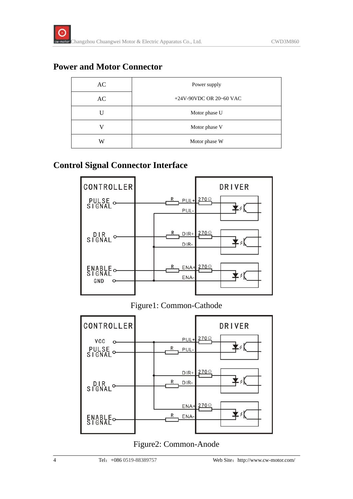#### **Power and Motor Connector**

| AC | Power supply              |  |
|----|---------------------------|--|
| AC | $+24V-90VDC$ OR 20~60 VAC |  |
|    | Motor phase U             |  |
|    | Motor phase V             |  |
| W  | Motor phase W             |  |

#### **Control Signal Connector Interface**



Figure1: Common-Cathode



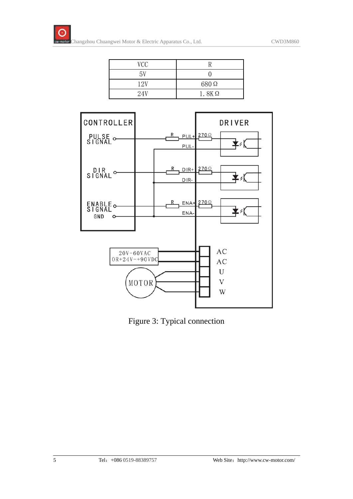| VCC |              |
|-----|--------------|
| 5V  |              |
| 12V | 680Ω         |
| 24V | $1.8K\Omega$ |



Figure 3: Typical connection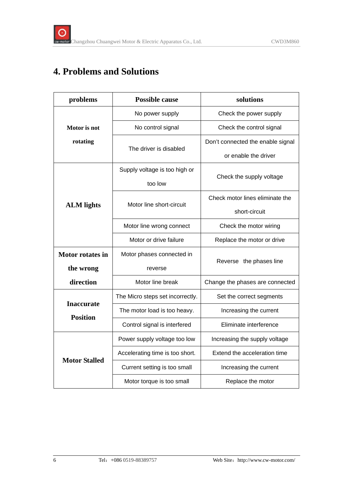## **4. Problems and Solutions**

| problems                             | <b>Possible cause</b>                         | solutions                         |  |
|--------------------------------------|-----------------------------------------------|-----------------------------------|--|
|                                      | No power supply                               | Check the power supply            |  |
| Motor is not                         | No control signal<br>Check the control signal |                                   |  |
| rotating                             |                                               | Don't connected the enable signal |  |
|                                      | The driver is disabled                        | or enable the driver              |  |
|                                      | Supply voltage is too high or                 |                                   |  |
|                                      | too low                                       | Check the supply voltage          |  |
|                                      | Motor line short-circuit                      | Check motor lines eliminate the   |  |
| <b>ALM</b> lights                    |                                               | short-circuit                     |  |
|                                      | Motor line wrong connect                      | Check the motor wiring            |  |
|                                      | Motor or drive failure                        | Replace the motor or drive        |  |
| <b>Motor rotates in</b>              | Motor phases connected in                     |                                   |  |
| the wrong                            | reverse                                       | Reverse the phases line           |  |
| direction                            | Motor line break                              | Change the phases are connected   |  |
|                                      | The Micro steps set incorrectly.              | Set the correct segments          |  |
| <b>Inaccurate</b><br><b>Position</b> | The motor load is too heavy.                  | Increasing the current            |  |
|                                      | Control signal is interfered                  | Eliminate interference            |  |
| <b>Motor Stalled</b>                 | Power supply voltage too low                  | Increasing the supply voltage     |  |
|                                      | Accelerating time is too short.               | Extend the acceleration time      |  |
|                                      | Current setting is too small                  | Increasing the current            |  |
|                                      | Motor torque is too small                     | Replace the motor                 |  |